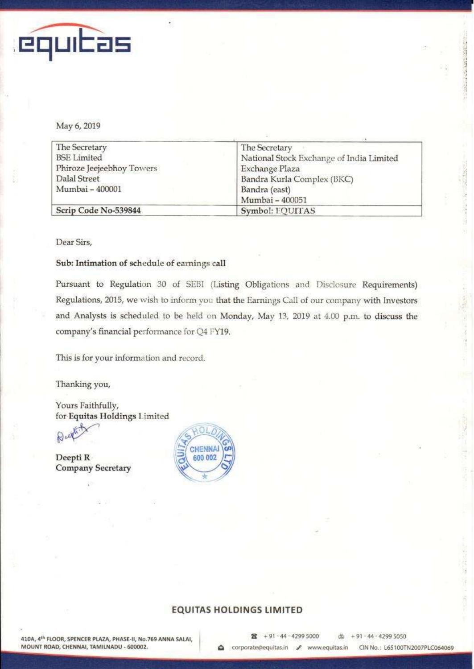

May 6, 2019

| The Secretary             | The Secretary                            |
|---------------------------|------------------------------------------|
| <b>BSE</b> Limited        |                                          |
|                           | National Stock Exchange of India Limited |
| Phiroze Jeejeebhoy Towers | Exchange Plaza                           |
| Dalal Street              | Bandra Kurla Complex (BKC)               |
| Mumbai - 400001           | Bandra (east)                            |
|                           | Mumbai - 400051                          |
| Scrip Code No-539844      | Symbol: EQUITAS                          |

Dear Sirs,

#### Sub: Intimation of schedule of earnings call

Pursuant to Regulation 30 of SEBI (Listing Obligations and Disclosure Requirements) Regulations, 2015, we wish to inform you that the Earnings Call of our company with Investors and Analysts is scheduled to be held on Monday, May 13, 2019 at 4.00 p.m. to discuss the company's financial performance for Q4 FY19.

This is for your information and record.

Thanking you,

Yours Faithfully, for Equitas Holdings Limited

**N** 

Deepti R **Company Secretary** 



#### **EQUITAS HOLDINGS LIMITED**

医肠腔镜 法一世法人的